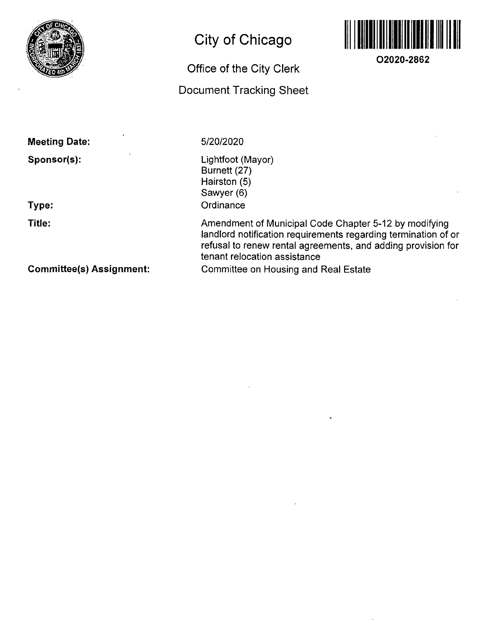

# **City of Chicago**

# **Office of the City Clerk**

# **Document Tracking Sheet**



**O2020-2862** 

| <b>Meeting Date:</b> |  |
|----------------------|--|
| Sponsor(s):          |  |
|                      |  |

**Type:** 

**Title:** 

5/20/2020

Lightfoot (Mayor) Burnett (27) Hairston (5) Sawyer (6) **Ordinance** 

Amendment of Municipal Code Chapter 5-12 by modifying landlord notification requirements regarding termination of or refusal to renew rental agreements, and adding provision for tenant relocation assistance Committee on Housing and Real Estate

**Committee(s) Assignment:**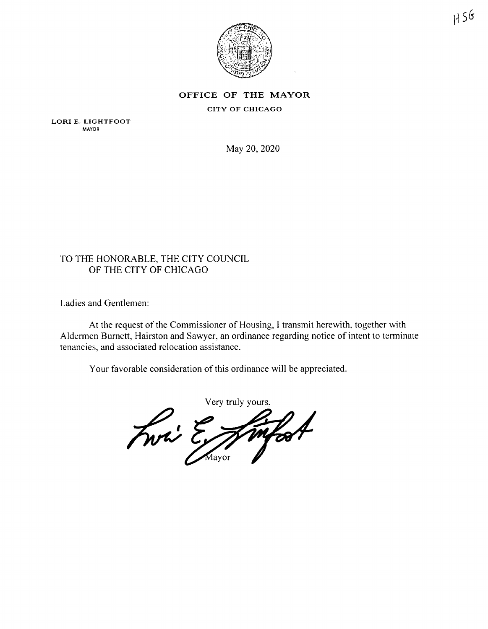

### **OFFICE OF THE MAYOR** CITY OF CHICAGO

LORI E. LIGHTFOOT MAYOR

May 20, 2020

#### TO THE HONORABLE, THE CITY COUNCIL OF THE CITY OF CHICAGO

Ladies and Gentlemen:

At the request of the Commissioner of Housing, I transmit herewith, together with Aldermen Burnett, Hairston and Sawyer, an ordinance regarding notice of intent to terminate tenancies, and associated relocation assistance.

Your favorable consideration of this ordinance will be appreciated.

Very truly yours, Fwri E mfort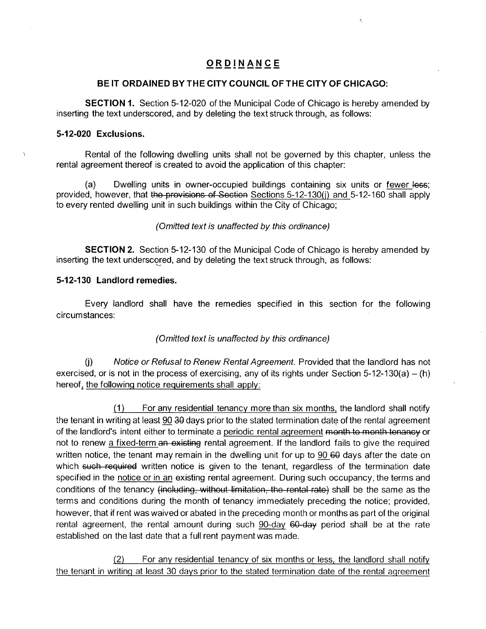### **ORDINANC E**

#### **BE IT ORDAINED BY THE CITY COUNCIL OF THE CITY OF CHICAGO:**

**SECTION 1.** Section 5-12-020 of the Municipal Code of Chicago is hereby amended by inserting the text underscored, and by deleting the text struck through, as follows:

#### **5-12-020 Exclusions.**

Rental of the following dwelling units shall not be governed by this chapter, unless the rental agreement thereof is created to avoid the application of this chapter:

(a) Dwelling units in owner-occupied buildings containing six units or fewer less; provided, however, that the provisions of Section Sections 5-12-130(i) and 5-12-160 shall apply to every rented dwelling unit in such buildings within the City of Chicago;

(Omitted text is unaffected by this ordinance)

**SECTION 2.** Section 5-12-130 of the Municipal Code of Chicago is hereby amended by inserting the text underscored, and by deleting the text struck through, as follows:

#### **5-12-130 Landlord remedies.**

Every landlord shall have the remedies specified in this section for the following circumstances:

#### (Omitted text is unaffected by this ordinance)

(j) Notice or Refusal to Renew Rental Agreement. Provided that the landlord has not exercised, or is not in the process of exercising, any of its rights under Section 5-12-130(a) – (h) hereof, the following notice requirements shall apply:

(1) For any residential tenancy more than six months, the landlord shall notify the tenant in writing at least 90 30 days prior to the stated termination date of the rental agreement of the landlord's intent either to terminate a periodic rental agreement month to month tenancy or not to renew a fixed-term an existing rental agreement. If the landlord fails to give the required written notice, the tenant may remain in the dwelling unit for up to 90 60 days after the date on which such required written notice is given to the tenant, regardless of the termination date specified in the notice or in an existing rental agreement. During such occupancy, the terms and conditions of the tenancy (including, without limitation, the rental rate) shall be the same as the terms and conditions during the month of tenancy immediately preceding the notice; provided, however, that if rent was waived or abated in the preceding month or months as part of the original rental agreement, the rental amount during such 90-day 60-day period shall be at the rate established on the last date that a full rent payment was made.

(2) For any residential tenancy of six months or less, the landlord shall notify the tenant in writing at least 30 days prior to the stated termination date of the rental agreement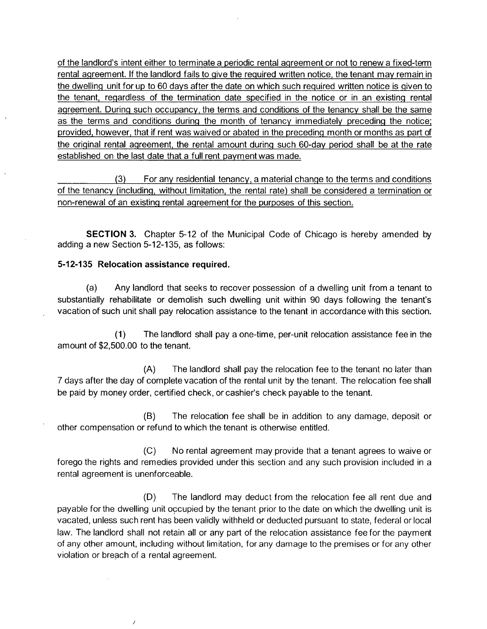of the landlord's intent either to terminate a periodic rental agreement or not to renew a fixed-term rental agreement. If the landlord fails to give the required written notice, the tenant may remain in the dwelling unit for up to 60 days after the date on which such required written notice is given to the tenant, regardless of the termination date specified in the notice or in an existing rental agreement. Durinq such occupancy, the terms and conditions of the tenancy shall be the same as the terms and conditions durinq the month of tenancy immediately preceding the notice; provided, however, that if rent was waived or abated in the preceding month or months as part of the original rental agreement, the rental amount during such 60-dav period shall be at the rate established on the last date that a full rent payment was made.

(3) For any residential tenancy, a material change to the terms and conditions of the tenancy (including, without limitation, the rental rate) shall be considered a termination or non-renewal of an existing rental agreement for the purposes of this section.

SECTION 3. Chapter 5-12 of the Municipal Code of Chicago is hereby amended by adding a new Section 5-12-135, as follows:

#### **5-12-135 Relocation assistance required.**

 $\overline{1}$ 

(a) Any landlord that seeks to recover possession of a dwelling unit from a tenant to substantially rehabilitate or demolish such dwelling unit within 90 days following the tenant's vacation of such unit shall pay relocation assistance to the tenant in accordance with this section.

(1) The landlord shall pay a one-time, per-unit relocation assistance fee in the amount of \$2,500.00 to the tenant.

(A) The landlord shall pay the relocation fee to the tenant no later than 7 days after the day of complete vacation of the rental unit by the tenant. The relocation fee shall be paid by money order, certified check, or cashier's check payable to the tenant.

(B) The relocation fee shall be in addition to any damage, deposit or other compensation or refund to which the tenant is otherwise entitled.

(C) No rental agreement may provide that a tenant agrees to waive or forego the rights and remedies provided under this section and any such provision included in a rental agreement is unenforceable.

(D) The landlord may deduct from the relocation fee all rent due and payable for the dwelling unit occupied by the tenant prior to the date on which the dwelling unit is vacated, unless such rent has been validly withheld or deducted pursuant to state, federal or local law. The landlord shall not retain all or any part of the relocation assistance fee for the payment of any other amount, including without limitation, for any damage to the premises or for any other violation or breach of a rental agreement.